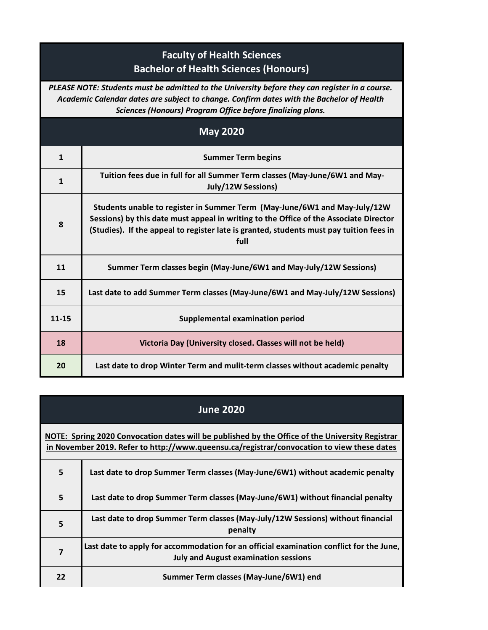## **Faculty of Health Sciences Bachelor of Health Sciences (Honours)**

*PLEASE NOTE: Students must be admitted to the University before they can register in a course. Academic Calendar dates are subject to change. Confirm dates with the Bachelor of Health Sciences (Honours) Program Office before finalizing plans.*

| <b>May 2020</b> |                                                                                                                                                                                                                                                                        |
|-----------------|------------------------------------------------------------------------------------------------------------------------------------------------------------------------------------------------------------------------------------------------------------------------|
| $\mathbf{1}$    | <b>Summer Term begins</b>                                                                                                                                                                                                                                              |
| 1               | Tuition fees due in full for all Summer Term classes (May-June/6W1 and May-<br><b>July/12W Sessions)</b>                                                                                                                                                               |
| 8               | Students unable to register in Summer Term (May-June/6W1 and May-July/12W)<br>Sessions) by this date must appeal in writing to the Office of the Associate Director<br>(Studies). If the appeal to register late is granted, students must pay tuition fees in<br>full |
| 11              | Summer Term classes begin (May-June/6W1 and May-July/12W Sessions)                                                                                                                                                                                                     |
| 15              | Last date to add Summer Term classes (May-June/6W1 and May-July/12W Sessions)                                                                                                                                                                                          |
| $11 - 15$       | Supplemental examination period                                                                                                                                                                                                                                        |
| 18              | Victoria Day (University closed. Classes will not be held)                                                                                                                                                                                                             |
| 20              | Last date to drop Winter Term and mulit-term classes without academic penalty                                                                                                                                                                                          |

| NOTE: Spring 2020 Convocation dates will be published by the Office of the University Registrar<br>in November 2019. Refer to http://www.queensu.ca/registrar/convocation to view these dates |                                                                                                                                        |
|-----------------------------------------------------------------------------------------------------------------------------------------------------------------------------------------------|----------------------------------------------------------------------------------------------------------------------------------------|
| 5                                                                                                                                                                                             | Last date to drop Summer Term classes (May-June/6W1) without academic penalty                                                          |
| 5                                                                                                                                                                                             | Last date to drop Summer Term classes (May-June/6W1) without financial penalty                                                         |
| 5                                                                                                                                                                                             | Last date to drop Summer Term classes (May-July/12W Sessions) without financial<br>penalty                                             |
| 7                                                                                                                                                                                             | Last date to apply for accommodation for an official examination conflict for the June,<br><b>July and August examination sessions</b> |
| 22                                                                                                                                                                                            | Summer Term classes (May-June/6W1) end                                                                                                 |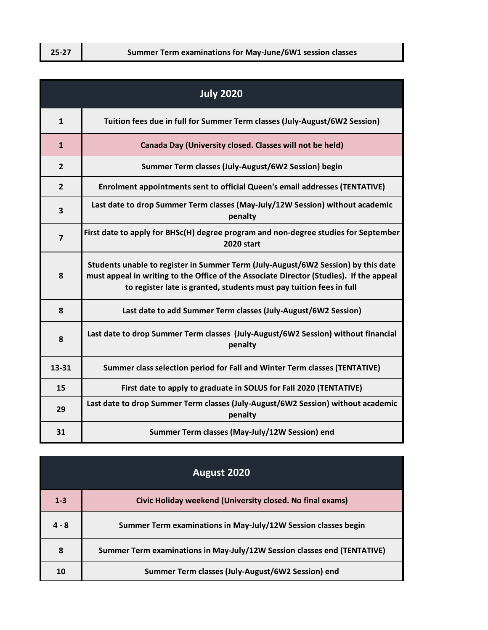| $25-27$<br>Summer Term examinations for May-June/6W1 session classes |  |
|----------------------------------------------------------------------|--|
|----------------------------------------------------------------------|--|

| <b>July 2020</b> |                                                                                                                                                                                                                                                     |
|------------------|-----------------------------------------------------------------------------------------------------------------------------------------------------------------------------------------------------------------------------------------------------|
| $\mathbf{1}$     | Tuition fees due in full for Summer Term classes (July-August/6W2 Session)                                                                                                                                                                          |
| $\mathbf{1}$     | Canada Day (University closed. Classes will not be held)                                                                                                                                                                                            |
| $\overline{2}$   | Summer Term classes (July-August/6W2 Session) begin                                                                                                                                                                                                 |
| $\overline{2}$   | Enrolment appointments sent to official Queen's email addresses (TENTATIVE)                                                                                                                                                                         |
| 3                | Last date to drop Summer Term classes (May-July/12W Session) without academic<br>penalty                                                                                                                                                            |
| $\overline{7}$   | First date to apply for BHSc(H) degree program and non-degree studies for September<br><b>2020 start</b>                                                                                                                                            |
| 8                | Students unable to register in Summer Term (July-August/6W2 Session) by this date<br>must appeal in writing to the Office of the Associate Director (Studies). If the appeal<br>to register late is granted, students must pay tuition fees in full |
| 8                | Last date to add Summer Term classes (July-August/6W2 Session)                                                                                                                                                                                      |
| 8                | Last date to drop Summer Term classes (July-August/6W2 Session) without financial<br>penalty                                                                                                                                                        |
| 13-31            | Summer class selection period for Fall and Winter Term classes (TENTATIVE)                                                                                                                                                                          |
| 15               | First date to apply to graduate in SOLUS for Fall 2020 (TENTATIVE)                                                                                                                                                                                  |
| 29               | Last date to drop Summer Term classes (July-August/6W2 Session) without academic<br>penalty                                                                                                                                                         |
| 31               | Summer Term classes (May-July/12W Session) end                                                                                                                                                                                                      |

| August 2020 |                                                                          |
|-------------|--------------------------------------------------------------------------|
| $1 - 3$     | Civic Holiday weekend (University closed. No final exams)                |
| $4 - 8$     | Summer Term examinations in May-July/12W Session classes begin           |
| 8           | Summer Term examinations in May-July/12W Session classes end (TENTATIVE) |
| 10          | Summer Term classes (July-August/6W2 Session) end                        |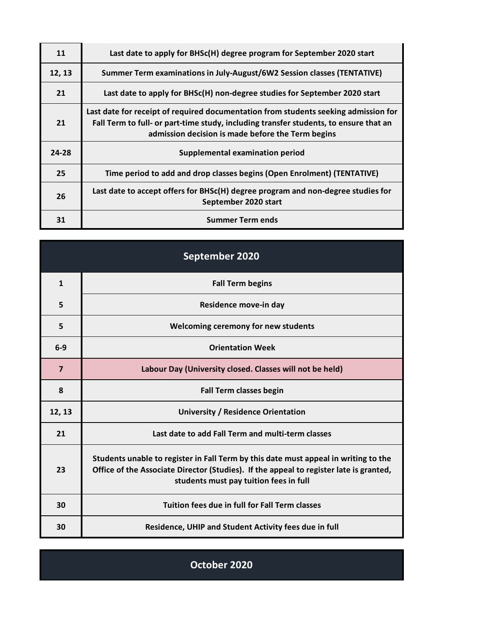| 11        | Last date to apply for BHSc(H) degree program for September 2020 start                                                                                                                                                            |
|-----------|-----------------------------------------------------------------------------------------------------------------------------------------------------------------------------------------------------------------------------------|
| 12, 13    | Summer Term examinations in July-August/6W2 Session classes (TENTATIVE)                                                                                                                                                           |
| 21        | Last date to apply for BHSc(H) non-degree studies for September 2020 start                                                                                                                                                        |
| 21        | Last date for receipt of required documentation from students seeking admission for<br>Fall Term to full- or part-time study, including transfer students, to ensure that an<br>admission decision is made before the Term begins |
| $24 - 28$ | Supplemental examination period                                                                                                                                                                                                   |
| 25        | Time period to add and drop classes begins (Open Enrolment) (TENTATIVE)                                                                                                                                                           |
| 26        | Last date to accept offers for BHSc(H) degree program and non-degree studies for<br>September 2020 start                                                                                                                          |
| 31        | <b>Summer Term ends</b>                                                                                                                                                                                                           |

| September 2020 |                                                                                                                                                                                                                         |
|----------------|-------------------------------------------------------------------------------------------------------------------------------------------------------------------------------------------------------------------------|
| $\mathbf{1}$   | <b>Fall Term begins</b>                                                                                                                                                                                                 |
| 5              | Residence move-in day                                                                                                                                                                                                   |
| 5              | Welcoming ceremony for new students                                                                                                                                                                                     |
| $6-9$          | <b>Orientation Week</b>                                                                                                                                                                                                 |
| $\overline{7}$ | Labour Day (University closed. Classes will not be held)                                                                                                                                                                |
| 8              | <b>Fall Term classes begin</b>                                                                                                                                                                                          |
| 12, 13         | University / Residence Orientation                                                                                                                                                                                      |
| 21             | Last date to add Fall Term and multi-term classes                                                                                                                                                                       |
| 23             | Students unable to register in Fall Term by this date must appeal in writing to the<br>Office of the Associate Director (Studies). If the appeal to register late is granted,<br>students must pay tuition fees in full |
| 30             | Tuition fees due in full for Fall Term classes                                                                                                                                                                          |
| 30             | Residence, UHIP and Student Activity fees due in full                                                                                                                                                                   |

**October 2020**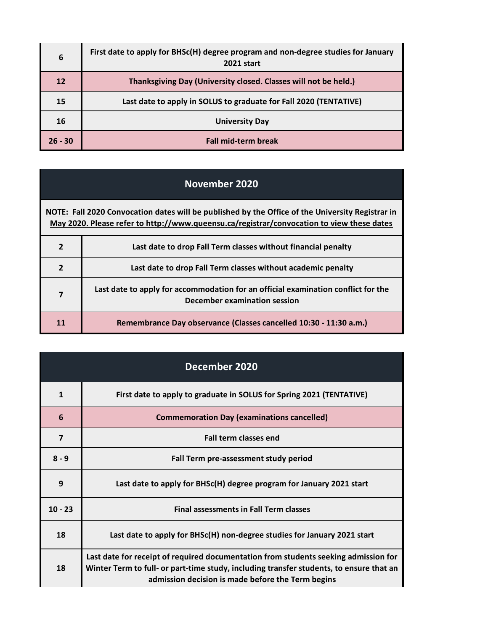| 6         | First date to apply for BHSc(H) degree program and non-degree studies for January<br><b>2021 start</b> |
|-----------|--------------------------------------------------------------------------------------------------------|
| $12$      | Thanksgiving Day (University closed. Classes will not be held.)                                        |
| 15        | Last date to apply in SOLUS to graduate for Fall 2020 (TENTATIVE)                                      |
| 16        | <b>University Day</b>                                                                                  |
| $26 - 30$ | <b>Fall mid-term break</b>                                                                             |

## **November 2020**

**[NOTE: Fal](http://www.queensu.ca/registrar/convocation)l 2020 Convocation dates will be published by the Office of the University Registrar in [May 202](http://www.queensu.ca/registrar/convocation)0. Please refer to http://www.queensu.ca/registrar/convocation to view these dates**

| $\overline{2}$ | Last date to drop Fall Term classes without financial penalty                                                     |
|----------------|-------------------------------------------------------------------------------------------------------------------|
| 2              | Last date to drop Fall Term classes without academic penalty                                                      |
| $\overline{7}$ | Last date to apply for accommodation for an official examination conflict for the<br>December examination session |
| 11             | Remembrance Day observance (Classes cancelled 10:30 - 11:30 a.m.)                                                 |

| December 2020           |                                                                                                                                                                                                                                     |
|-------------------------|-------------------------------------------------------------------------------------------------------------------------------------------------------------------------------------------------------------------------------------|
| 1                       | First date to apply to graduate in SOLUS for Spring 2021 (TENTATIVE)                                                                                                                                                                |
| 6                       | <b>Commemoration Day (examinations cancelled)</b>                                                                                                                                                                                   |
| $\overline{\mathbf{z}}$ | <b>Fall term classes end</b>                                                                                                                                                                                                        |
| $8 - 9$                 | Fall Term pre-assessment study period                                                                                                                                                                                               |
| 9                       | Last date to apply for BHSc(H) degree program for January 2021 start                                                                                                                                                                |
| $10 - 23$               | <b>Final assessments in Fall Term classes</b>                                                                                                                                                                                       |
| 18                      | Last date to apply for BHSc(H) non-degree studies for January 2021 start                                                                                                                                                            |
| 18                      | Last date for receipt of required documentation from students seeking admission for<br>Winter Term to full- or part-time study, including transfer students, to ensure that an<br>admission decision is made before the Term begins |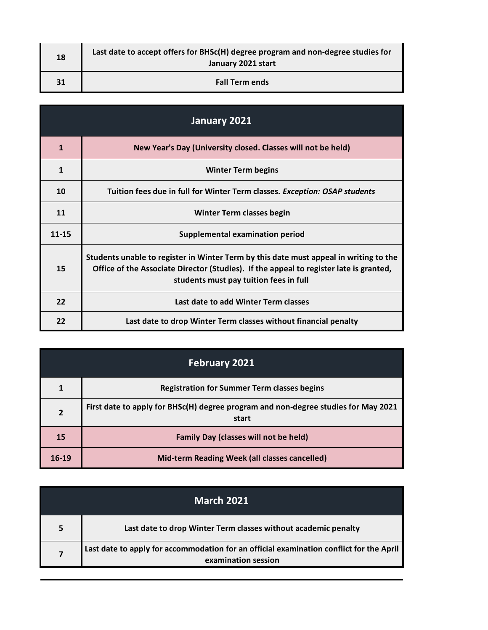| 18 | Last date to accept offers for BHSc(H) degree program and non-degree studies for<br>January 2021 start |
|----|--------------------------------------------------------------------------------------------------------|
| 31 | <b>Fall Term ends</b>                                                                                  |

| January 2021 |                                                                                                                                                                                                                           |
|--------------|---------------------------------------------------------------------------------------------------------------------------------------------------------------------------------------------------------------------------|
| $\mathbf{1}$ | New Year's Day (University closed. Classes will not be held)                                                                                                                                                              |
| 1            | <b>Winter Term begins</b>                                                                                                                                                                                                 |
| 10           | Tuition fees due in full for Winter Term classes. Exception: OSAP students                                                                                                                                                |
| 11           | Winter Term classes begin                                                                                                                                                                                                 |
| $11 - 15$    | Supplemental examination period                                                                                                                                                                                           |
| 15           | Students unable to register in Winter Term by this date must appeal in writing to the<br>Office of the Associate Director (Studies). If the appeal to register late is granted,<br>students must pay tuition fees in full |
| 22           | Last date to add Winter Term classes                                                                                                                                                                                      |
| 22           | Last date to drop Winter Term classes without financial penalty                                                                                                                                                           |

| <b>February 2021</b> |                                                                                             |
|----------------------|---------------------------------------------------------------------------------------------|
| 1                    | <b>Registration for Summer Term classes begins</b>                                          |
| $\overline{2}$       | First date to apply for BHSc(H) degree program and non-degree studies for May 2021<br>start |
| 15                   | <b>Family Day (classes will not be held)</b>                                                |
| 16-19                | Mid-term Reading Week (all classes cancelled)                                               |

| March 2021 |                                                                                                                |
|------------|----------------------------------------------------------------------------------------------------------------|
| 5          | Last date to drop Winter Term classes without academic penalty                                                 |
|            | Last date to apply for accommodation for an official examination conflict for the April<br>examination session |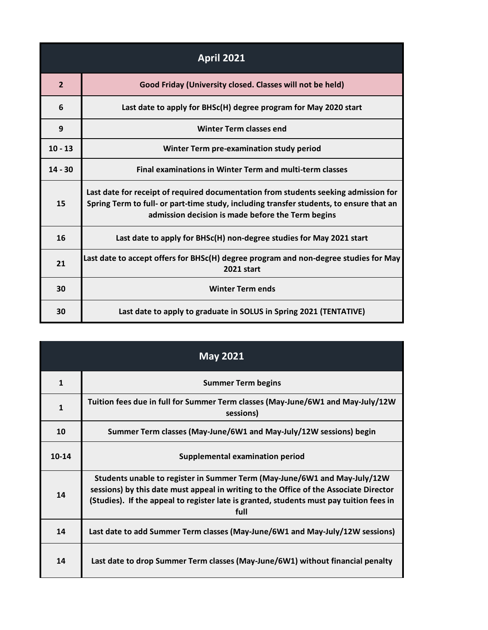| <b>April 2021</b> |                                                                                                                                                                                                                                     |
|-------------------|-------------------------------------------------------------------------------------------------------------------------------------------------------------------------------------------------------------------------------------|
| $\overline{2}$    | Good Friday (University closed. Classes will not be held)                                                                                                                                                                           |
| 6                 | Last date to apply for BHSc(H) degree program for May 2020 start                                                                                                                                                                    |
| 9                 | <b>Winter Term classes end</b>                                                                                                                                                                                                      |
| $10 - 13$         | Winter Term pre-examination study period                                                                                                                                                                                            |
| $14 - 30$         | <b>Final examinations in Winter Term and multi-term classes</b>                                                                                                                                                                     |
| 15                | Last date for receipt of required documentation from students seeking admission for<br>Spring Term to full- or part-time study, including transfer students, to ensure that an<br>admission decision is made before the Term begins |
| 16                | Last date to apply for BHSc(H) non-degree studies for May 2021 start                                                                                                                                                                |
| 21                | Last date to accept offers for BHSc(H) degree program and non-degree studies for May<br><b>2021 start</b>                                                                                                                           |
| 30                | <b>Winter Term ends</b>                                                                                                                                                                                                             |
| 30                | Last date to apply to graduate in SOLUS in Spring 2021 (TENTATIVE)                                                                                                                                                                  |

| <b>May 2021</b> |                                                                                                                                                                                                                                                                       |
|-----------------|-----------------------------------------------------------------------------------------------------------------------------------------------------------------------------------------------------------------------------------------------------------------------|
| 1               | <b>Summer Term begins</b>                                                                                                                                                                                                                                             |
| $\mathbf{1}$    | Tuition fees due in full for Summer Term classes (May-June/6W1 and May-July/12W<br>sessions)                                                                                                                                                                          |
| 10              | Summer Term classes (May-June/6W1 and May-July/12W sessions) begin                                                                                                                                                                                                    |
| $10 - 14$       | Supplemental examination period                                                                                                                                                                                                                                       |
| 14              | Students unable to register in Summer Term (May-June/6W1 and May-July/12W<br>sessions) by this date must appeal in writing to the Office of the Associate Director<br>(Studies). If the appeal to register late is granted, students must pay tuition fees in<br>full |
| 14              | Last date to add Summer Term classes (May-June/6W1 and May-July/12W sessions)                                                                                                                                                                                         |
| 14              | Last date to drop Summer Term classes (May-June/6W1) without financial penalty                                                                                                                                                                                        |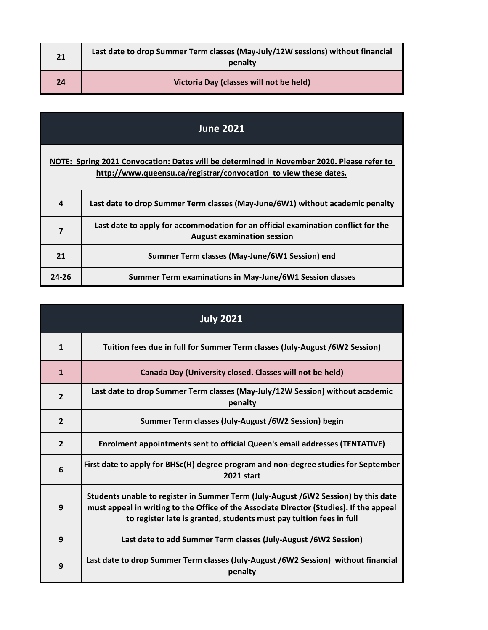| 21 | Last date to drop Summer Term classes (May-July/12W sessions) without financial<br>penalty |
|----|--------------------------------------------------------------------------------------------|
| 24 | Victoria Day (classes will not be held)                                                    |

| <b>June 2021</b>                                                                                                                                              |                                                                                                                        |
|---------------------------------------------------------------------------------------------------------------------------------------------------------------|------------------------------------------------------------------------------------------------------------------------|
| NOTE: Spring 2021 Convocation: Dates will be determined in November 2020. Please refer to<br>http://www.queensu.ca/registrar/convocation to view these dates. |                                                                                                                        |
| 4                                                                                                                                                             | Last date to drop Summer Term classes (May-June/6W1) without academic penalty                                          |
| 7                                                                                                                                                             | Last date to apply for accommodation for an official examination conflict for the<br><b>August examination session</b> |
| 21                                                                                                                                                            | Summer Term classes (May-June/6W1 Session) end                                                                         |
| $24 - 26$                                                                                                                                                     | Summer Term examinations in May-June/6W1 Session classes                                                               |

| <b>July 2021</b> |                                                                                                                                                                                                                                                      |
|------------------|------------------------------------------------------------------------------------------------------------------------------------------------------------------------------------------------------------------------------------------------------|
| $\mathbf{1}$     | Tuition fees due in full for Summer Term classes (July-August /6W2 Session)                                                                                                                                                                          |
| $\mathbf{1}$     | Canada Day (University closed. Classes will not be held)                                                                                                                                                                                             |
| $\overline{2}$   | Last date to drop Summer Term classes (May-July/12W Session) without academic<br>penalty                                                                                                                                                             |
| $\overline{2}$   | Summer Term classes (July-August /6W2 Session) begin                                                                                                                                                                                                 |
| $\overline{2}$   | Enrolment appointments sent to official Queen's email addresses (TENTATIVE)                                                                                                                                                                          |
| 6                | First date to apply for BHSc(H) degree program and non-degree studies for September<br><b>2021 start</b>                                                                                                                                             |
| 9                | Students unable to register in Summer Term (July-August /6W2 Session) by this date<br>must appeal in writing to the Office of the Associate Director (Studies). If the appeal<br>to register late is granted, students must pay tuition fees in full |
| 9                | Last date to add Summer Term classes (July-August /6W2 Session)                                                                                                                                                                                      |
| 9                | Last date to drop Summer Term classes (July-August /6W2 Session) without financial<br>penalty                                                                                                                                                        |